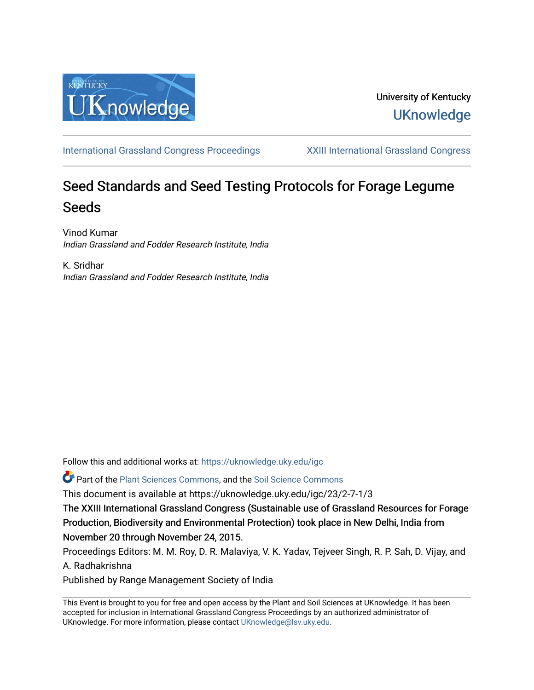

[International Grassland Congress Proceedings](https://uknowledge.uky.edu/igc) [XXIII International Grassland Congress](https://uknowledge.uky.edu/igc/23) 

# Seed Standards and Seed Testing Protocols for Forage Legume Seeds

Vinod Kumar Indian Grassland and Fodder Research Institute, India

K. Sridhar Indian Grassland and Fodder Research Institute, India

Follow this and additional works at: [https://uknowledge.uky.edu/igc](https://uknowledge.uky.edu/igc?utm_source=uknowledge.uky.edu%2Figc%2F23%2F2-7-1%2F3&utm_medium=PDF&utm_campaign=PDFCoverPages) 

Part of the [Plant Sciences Commons](http://network.bepress.com/hgg/discipline/102?utm_source=uknowledge.uky.edu%2Figc%2F23%2F2-7-1%2F3&utm_medium=PDF&utm_campaign=PDFCoverPages), and the [Soil Science Commons](http://network.bepress.com/hgg/discipline/163?utm_source=uknowledge.uky.edu%2Figc%2F23%2F2-7-1%2F3&utm_medium=PDF&utm_campaign=PDFCoverPages) 

This document is available at https://uknowledge.uky.edu/igc/23/2-7-1/3

The XXIII International Grassland Congress (Sustainable use of Grassland Resources for Forage Production, Biodiversity and Environmental Protection) took place in New Delhi, India from November 20 through November 24, 2015.

Proceedings Editors: M. M. Roy, D. R. Malaviya, V. K. Yadav, Tejveer Singh, R. P. Sah, D. Vijay, and A. Radhakrishna

Published by Range Management Society of India

This Event is brought to you for free and open access by the Plant and Soil Sciences at UKnowledge. It has been accepted for inclusion in International Grassland Congress Proceedings by an authorized administrator of UKnowledge. For more information, please contact [UKnowledge@lsv.uky.edu](mailto:UKnowledge@lsv.uky.edu).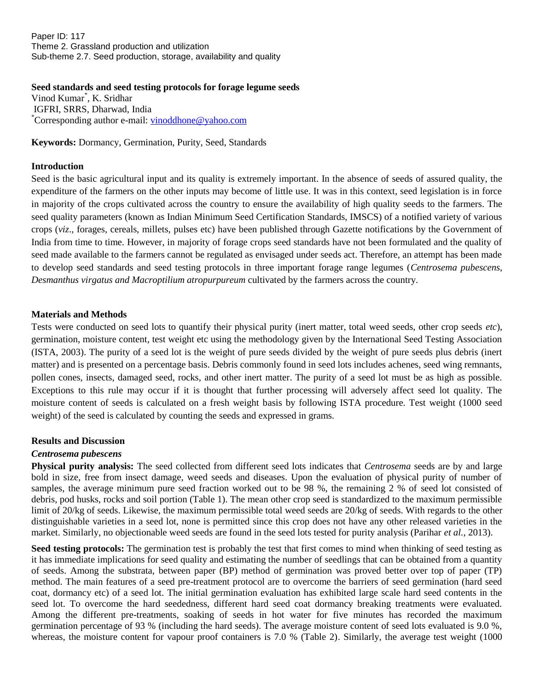Paper ID: 117 Theme 2. Grassland production and utilization Sub-theme 2.7. Seed production, storage, availability and quality

**Seed standards and seed testing protocols for forage legume seeds** Vinod Kumar\* , K. Sridhar IGFRI, SRRS, Dharwad, India \*Corresponding author e-mail: [vinoddhone@yahoo.com](mailto:vinoddhone@yahoo.com)

**Keywords:** Dormancy, Germination, Purity, Seed, Standards

#### **Introduction**

Seed is the basic agricultural input and its quality is extremely important. In the absence of seeds of assured quality, the expenditure of the farmers on the other inputs may become of little use. It was in this context, seed legislation is in force in majority of the crops cultivated across the country to ensure the availability of high quality seeds to the farmers. The seed quality parameters (known as Indian Minimum Seed Certification Standards, IMSCS) of a notified variety of various crops (*viz*., forages, cereals, millets, pulses etc) have been published through Gazette notifications by the Government of India from time to time. However, in majority of forage crops seed standards have not been formulated and the quality of seed made available to the farmers cannot be regulated as envisaged under seeds act. Therefore, an attempt has been made to develop seed standards and seed testing protocols in three important forage range legumes (*Centrosema pubescens*, *Desmanthus virgatus and Macroptilium atropurpureum* cultivated by the farmers across the country.

#### **Materials and Methods**

Tests were conducted on seed lots to quantify their physical purity (inert matter, total weed seeds, other crop seeds *etc*), germination, moisture content, test weight etc using the methodology given by the International Seed Testing Association (ISTA, 2003). The purity of a seed lot is the weight of pure seeds divided by the weight of pure seeds plus debris (inert matter) and is presented on a percentage basis. Debris commonly found in seed lots includes achenes, seed wing remnants, pollen cones, insects, damaged seed, rocks, and other inert matter. The purity of a seed lot must be as high as possible. Exceptions to this rule may occur if it is thought that further processing will adversely affect seed lot quality. The moisture content of seeds is calculated on a fresh weight basis by following ISTA procedure. Test weight (1000 seed weight) of the seed is calculated by counting the seeds and expressed in grams.

#### **Results and Discussion**

## *Centrosema pubescens*

**Physical purity analysis:** The seed collected from different seed lots indicates that *Centrosema* seeds are by and large bold in size, free from insect damage, weed seeds and diseases. Upon the evaluation of physical purity of number of samples, the average minimum pure seed fraction worked out to be 98 %, the remaining 2 % of seed lot consisted of debris, pod husks, rocks and soil portion (Table 1). The mean other crop seed is standardized to the maximum permissible limit of 20/kg of seeds. Likewise, the maximum permissible total weed seeds are 20/kg of seeds. With regards to the other distinguishable varieties in a seed lot, none is permitted since this crop does not have any other released varieties in the market. Similarly, no objectionable weed seeds are found in the seed lots tested for purity analysis (Parihar *et al.*, 2013).

**Seed testing protocols:** The germination test is probably the test that first comes to mind when thinking of seed testing as it has immediate implications for seed quality and estimating the number of seedlings that can be obtained from a quantity of seeds. Among the substrata, between paper (BP) method of germination was proved better over top of paper (TP) method. The main features of a seed pre-treatment protocol are to overcome the barriers of seed germination (hard seed coat, dormancy etc) of a seed lot. The initial germination evaluation has exhibited large scale hard seed contents in the seed lot. To overcome the hard seededness, different hard seed coat dormancy breaking treatments were evaluated. Among the different pre-treatments, soaking of seeds in hot water for five minutes has recorded the maximum germination percentage of 93 % (including the hard seeds). The average moisture content of seed lots evaluated is 9.0 %, whereas, the moisture content for vapour proof containers is 7.0 % (Table 2). Similarly, the average test weight (1000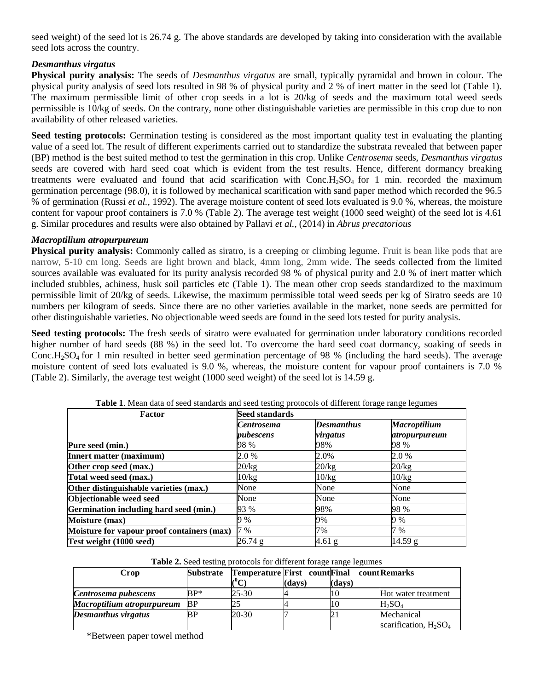seed weight) of the seed lot is 26.74 g. The above standards are developed by taking into consideration with the available seed lots across the country.

## *Desmanthus virgatus*

**Physical purity analysis:** The seeds of *Desmanthus virgatus* are small, typically pyramidal and brown in colour. The physical purity analysis of seed lots resulted in 98 % of physical purity and 2 % of inert matter in the seed lot (Table 1). The maximum permissible limit of other crop seeds in a lot is 20/kg of seeds and the maximum total weed seeds permissible is 10/kg of seeds. On the contrary, none other distinguishable varieties are permissible in this crop due to non availability of other released varieties.

**Seed testing protocols:** Germination testing is considered as the most important quality test in evaluating the planting value of a seed lot. The result of different experiments carried out to standardize the substrata revealed that between paper (BP) method is the best suited method to test the germination in this crop. Unlike *Centrosema* seeds, *Desmanthus virgatus* seeds are covered with hard seed coat which is evident from the test results. Hence, different dormancy breaking treatments were evaluated and found that acid scarification with  $Conc.H<sub>2</sub>SO<sub>4</sub>$  for 1 min. recorded the maximum germination percentage (98.0), it is followed by mechanical scarification with sand paper method which recorded the 96.5 % of germination (Russi *et al.,* 1992). The average moisture content of seed lots evaluated is 9.0 %, whereas, the moisture content for vapour proof containers is 7.0 % (Table 2). The average test weight (1000 seed weight) of the seed lot is 4.61 g. Similar procedures and results were also obtained by Pallavi *et al.*, (2014) in *Abrus precatorious*

## *Macroptilium atropurpureum*

**Physical purity analysis:** Commonly called as siratro, is a creeping or climbing legume. Fruit is bean like pods that are narrow, 5-10 cm long. Seeds are light brown and black, 4mm long, 2mm wide. The seeds collected from the limited sources available was evaluated for its purity analysis recorded 98 % of physical purity and 2.0 % of inert matter which included stubbles, achiness, husk soil particles etc (Table 1). The mean other crop seeds standardized to the maximum permissible limit of 20/kg of seeds. Likewise, the maximum permissible total weed seeds per kg of Siratro seeds are 10 numbers per kilogram of seeds. Since there are no other varieties available in the market, none seeds are permitted for other distinguishable varieties. No objectionable weed seeds are found in the seed lots tested for purity analysis.

**Seed testing protocols:** The fresh seeds of siratro were evaluated for germination under laboratory conditions recorded higher number of hard seeds (88 %) in the seed lot. To overcome the hard seed coat dormancy, soaking of seeds in Conc.H<sub>2</sub>SO<sub>4</sub> for 1 min resulted in better seed germination percentage of 98 % (including the hard seeds). The average moisture content of seed lots evaluated is 9.0 %, whereas, the moisture content for vapour proof containers is 7.0 % (Table 2). Similarly, the average test weight (1000 seed weight) of the seed lot is 14.59 g.

| Factor                                     | Seed standards                 |                               |                                             |  |  |  |
|--------------------------------------------|--------------------------------|-------------------------------|---------------------------------------------|--|--|--|
|                                            | <b>Centrosema</b><br>pubescens | <b>Desmanthus</b><br>virgatus | <b>Macroptilium</b><br><i>atropurpureum</i> |  |  |  |
| Pure seed (min.)                           | 98 %                           | 98%                           | 98 %                                        |  |  |  |
| Innert matter (maximum)                    | 2.0 %                          | 2.0%                          | 2.0 %                                       |  |  |  |
| Other crop seed (max.)                     | 20/kg                          | 20/kg                         | 20/kg                                       |  |  |  |
| Total weed seed (max.)                     | 10/kg                          | 10/kg                         | 10/kg                                       |  |  |  |
| Other distinguishable varieties (max.)     | None                           | None                          | None                                        |  |  |  |
| Objectionable weed seed                    | None                           | None                          | None                                        |  |  |  |
| Germination including hard seed (min.)     | 93 %                           | 98%                           | 98 %                                        |  |  |  |
| <b>Moisture (max)</b>                      | 9%                             | 9%                            | 9%                                          |  |  |  |
| Moisture for vapour proof containers (max) | 7 %                            | 7%                            | 7 %                                         |  |  |  |
| Test weight (1000 seed)                    | 26.74 g                        | $4.61$ g                      | 14.59 g                                     |  |  |  |

Table 1. Mean data of seed standards and seed testing protocols of different forage range legumes

**Table 2.** Seed testing protocols for different forage range legumes

| Crop                       | Substrate | Temperature First count Final count Remarks |        |        |                          |
|----------------------------|-----------|---------------------------------------------|--------|--------|--------------------------|
|                            |           |                                             | (days) | (days) |                          |
| Centrosema pubescens       | $BP^*$    | 25-30                                       |        | 10     | Hot water treatment      |
| Macroptilium atropurpureum | <b>BP</b> |                                             |        | 10     | $H_2SO_4$                |
| Desmanthus virgatus        | ВP        | 20-30                                       |        |        | Mechanical               |
|                            |           |                                             |        |        | scarification, $H_2SO_4$ |

\*Between paper towel method